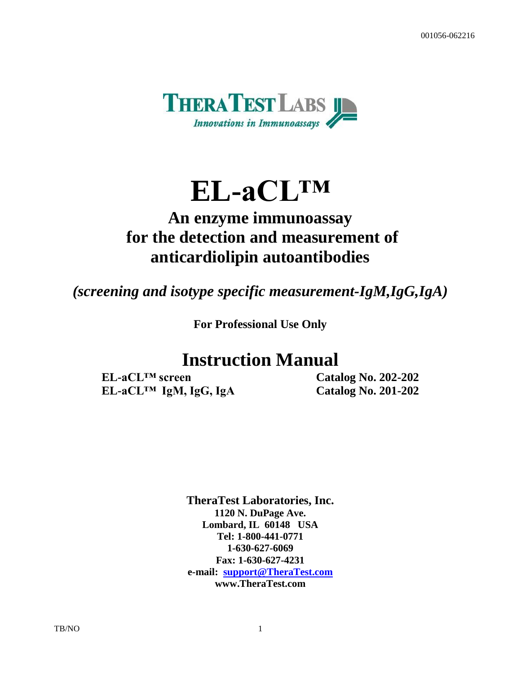

# **EL-aCL™**

# **An enzyme immunoassay for the detection and measurement of anticardiolipin autoantibodies**

*(screening and isotype specific measurement-IgM,IgG,IgA)*

**For Professional Use Only** 

# **Instruction Manual**

**EL-aCL™ screen Catalog No. 202-202 EL-aCL™ IgM, IgG, IgA Catalog No. 201-202**

**TheraTest Laboratories, Inc. 1120 N. DuPage Ave. Lombard, IL 60148 USA Tel: 1-800-441-0771 1-630-627-6069 Fax: 1-630-627-4231 e-mail: [support@TheraTest.com](mailto:sm@TheraTest.com) www.TheraTest.com**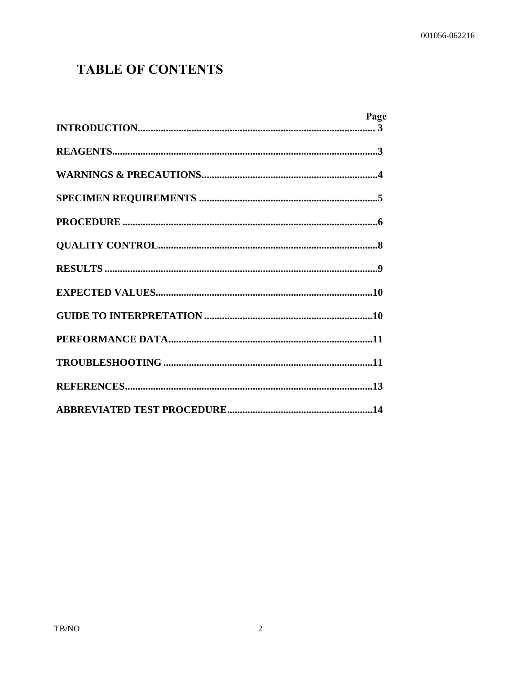# **TABLE OF CONTENTS**

| Page |
|------|
|      |
|      |
|      |
|      |
|      |
|      |
|      |
|      |
|      |
|      |
|      |
|      |
|      |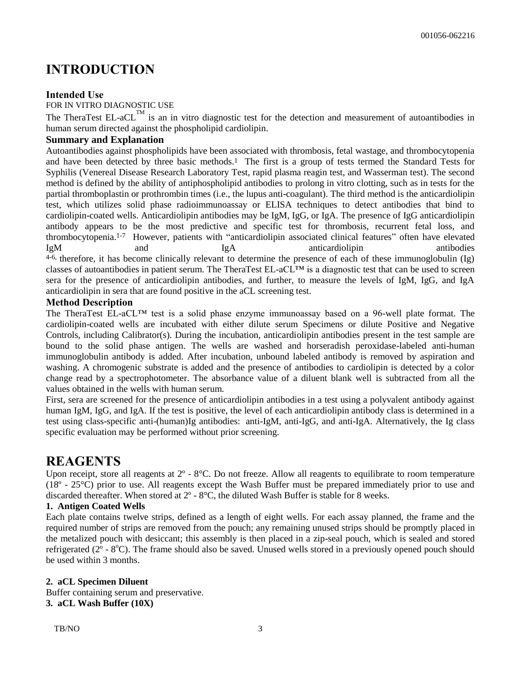### **INTRODUCTION**

### **Intended Use**

FOR IN VITRO DIAGNOSTIC USE

The TheraTest EL-aCL<sup>TM</sup> is an in vitro diagnostic test for the detection and measurement of autoantibodies in human serum directed against the phospholipid cardiolipin.

### **Summary and Explanation**

Autoantibodies against phospholipids have been associated with thrombosis, fetal wastage, and thrombocytopenia and have been detected by three basic methods.1 The first is a group of tests termed the Standard Tests for Syphilis (Venereal Disease Research Laboratory Test, rapid plasma reagin test, and Wasserman test). The second method is defined by the ability of antiphospholipid antibodies to prolong in vitro clotting, such as in tests for the partial thromboplastin or prothrombin times (i.e., the lupus anti-coagulant). The third method is the anticardiolipin test, which utilizes solid phase radioimmunoassay or ELISA techniques to detect antibodies that bind to cardiolipin-coated wells. Anticardiolipin antibodies may be IgM, IgG, or IgA. The presence of IgG anticardiolipin antibody appears to be the most predictive and specific test for thrombosis, recurrent fetal loss, and thrombocytopenia.1-7 However, patients with "anticardiolipin associated clinical features" often have elevated IgM and IgA anticardiolipin antibodies 4-6, therefore, it has become clinically relevant to determine the presence of each of these immunoglobulin (Ig) classes of autoantibodies in patient serum. The TheraTest EL-aCL™ is a diagnostic test that can be used to screen sera for the presence of anticardiolipin antibodies, and further, to measure the levels of IgM, IgG, and IgA anticardiolipin in sera that are found positive in the aCL screening test.

### **Method Description**

The TheraTest EL-aCL™ test is a solid phase enzyme immunoassay based on a 96-well plate format. The cardiolipin-coated wells are incubated with either dilute serum Specimens or dilute Positive and Negative Controls, including Calibrator(s). During the incubation, anticardiolipin antibodies present in the test sample are bound to the solid phase antigen. The wells are washed and horseradish peroxidase-labeled anti-human immunoglobulin antibody is added. After incubation, unbound labeled antibody is removed by aspiration and washing. A chromogenic substrate is added and the presence of antibodies to cardiolipin is detected by a color change read by a spectrophotometer. The absorbance value of a diluent blank well is subtracted from all the values obtained in the wells with human serum.

First, sera are screened for the presence of anticardiolipin antibodies in a test using a polyvalent antibody against human IgM, IgG, and IgA. If the test is positive, the level of each anticardiolipin antibody class is determined in a test using class-specific anti-(human)Ig antibodies: anti-IgM, anti-IgG, and anti-IgA. Alternatively, the Ig class specific evaluation may be performed without prior screening.

### **REAGENTS**

Upon receipt, store all reagents at  $2^{\circ}$  -  $8^{\circ}$ C. Do not freeze. Allow all reagents to equilibrate to room temperature (18º - 25°C) prior to use. All reagents except the Wash Buffer must be prepared immediately prior to use and discarded thereafter. When stored at 2º - 8°C, the diluted Wash Buffer is stable for 8 weeks.

### **1. Antigen Coated Wells**

Each plate contains twelve strips, defined as a length of eight wells. For each assay planned, the frame and the required number of strips are removed from the pouch; any remaining unused strips should be promptly placed in the metalized pouch with desiccant; this assembly is then placed in a zip-seal pouch, which is sealed and stored refrigerated ( $2^{\circ}$  -  $8^{\circ}$ C). The frame should also be saved. Unused wells stored in a previously opened pouch should be used within 3 months.

### **2. aCL Specimen Diluent**

Buffer containing serum and preservative. **3. aCL Wash Buffer (10X)**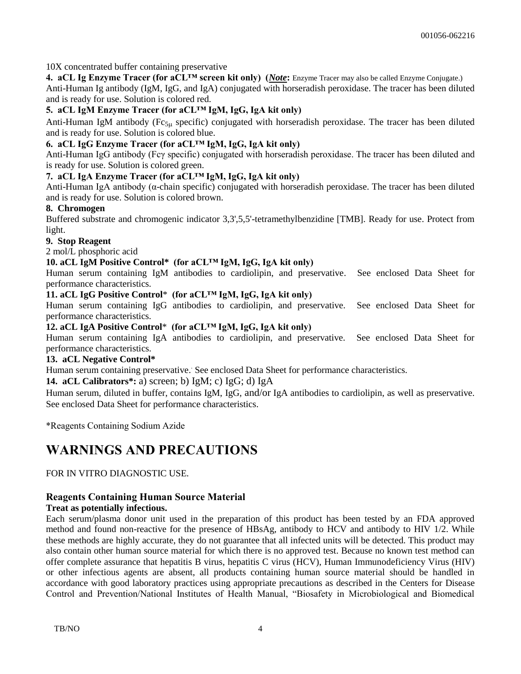10X concentrated buffer containing preservative

**4. aCL Ig Enzyme Tracer (for aCL™ screen kit only) (***Note***:** Enzyme Tracer may also be called Enzyme Conjugate.) Anti-Human Ig antibody (IgM, IgG, and IgA) conjugated with horseradish peroxidase. The tracer has been diluted and is ready for use. Solution is colored red.

### **5. aCL IgM Enzyme Tracer (for aCL™ IgM, IgG, IgA kit only)**

Anti-Human IgM antibody ( $Fc_{5\mu}$  specific) conjugated with horseradish peroxidase. The tracer has been diluted and is ready for use. Solution is colored blue.

### **6. aCL IgG Enzyme Tracer (for aCL™ IgM, IgG, IgA kit only)**

Anti-Human IgG antibody (Fcγ specific) conjugated with horseradish peroxidase. The tracer has been diluted and is ready for use. Solution is colored green.

### **7. aCL IgA Enzyme Tracer (for aCL™ IgM, IgG, IgA kit only)**

Anti-Human IgA antibody (α-chain specific) conjugated with horseradish peroxidase. The tracer has been diluted and is ready for use. Solution is colored brown.

### **8. Chromogen**

Buffered substrate and chromogenic indicator 3,3',5,5'-tetramethylbenzidine [TMB]. Ready for use. Protect from light.

### **9. Stop Reagent**

2 mol/L phosphoric acid

### **10. aCL IgM Positive Control\* (for aCL™ IgM, IgG, IgA kit only)**

Human serum containing IgM antibodies to cardiolipin, and preservative. See enclosed Data Sheet for performance characteristics.

### **11. aCL IgG Positive Control**\* **(for aCL™ IgM, IgG, IgA kit only)**

Human serum containing IgG antibodies to cardiolipin, and preservative. See enclosed Data Sheet for performance characteristics.

#### **12. aCL IgA Positive Control**\* **(for aCL™ IgM, IgG, IgA kit only)**

Human serum containing IgA antibodies to cardiolipin, and preservative. See enclosed Data Sheet for performance characteristics.

#### **13. aCL Negative Control\***

Human serum containing preservative. . See enclosed Data Sheet for performance characteristics.

#### **14. aCL Calibrators\*:** a) screen; b) IgM; c) IgG; d) IgA

Human serum, diluted in buffer, contains IgM, IgG, and/or IgA antibodies to cardiolipin, as well as preservative. See enclosed Data Sheet for performance characteristics.

\*Reagents Containing Sodium Azide

### **WARNINGS AND PRECAUTIONS**

### FOR IN VITRO DIAGNOSTIC USE.

### **Reagents Containing Human Source Material**

### **Treat as potentially infectious.**

Each serum/plasma donor unit used in the preparation of this product has been tested by an FDA approved method and found non-reactive for the presence of HBsAg, antibody to HCV and antibody to HIV 1/2. While these methods are highly accurate, they do not guarantee that all infected units will be detected. This product may also contain other human source material for which there is no approved test. Because no known test method can offer complete assurance that hepatitis B virus, hepatitis C virus (HCV), Human Immunodeficiency Virus (HIV) or other infectious agents are absent, all products containing human source material should be handled in accordance with good laboratory practices using appropriate precautions as described in the Centers for Disease Control and Prevention/National Institutes of Health Manual, "Biosafety in Microbiological and Biomedical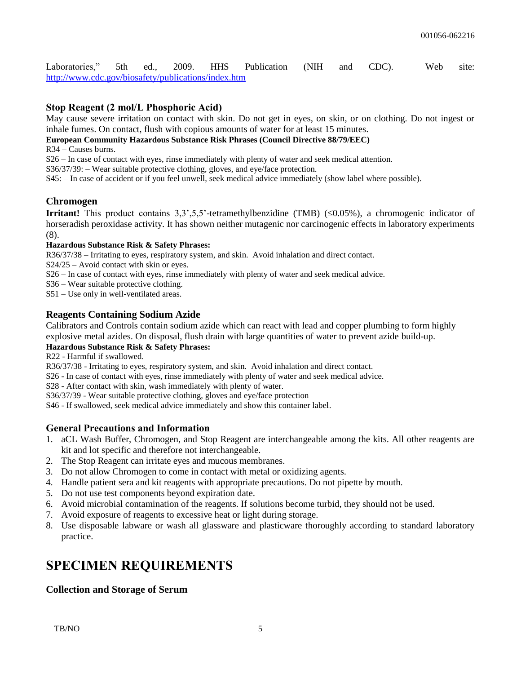Laboratories," 5th ed., 2009. HHS Publication (NIH and CDC). Web site: <http://www.cdc.gov/biosafety/publications/index.htm>

### **Stop Reagent (2 mol/L Phosphoric Acid)**

May cause severe irritation on contact with skin. Do not get in eyes, on skin, or on clothing. Do not ingest or inhale fumes. On contact, flush with copious amounts of water for at least 15 minutes.

### **European Community Hazardous Substance Risk Phrases (Council Directive 88/79/EEC)**

R34 – Causes burns.

S26 – In case of contact with eyes, rinse immediately with plenty of water and seek medical attention.

S36/37/39: – Wear suitable protective clothing, gloves, and eye/face protection.

S45: – In case of accident or if you feel unwell, seek medical advice immediately (show label where possible).

### **Chromogen**

**Irritant!** This product contains  $3,3,3,5,5$ -tetramethylbenzidine (TMB) ( $\leq 0.05\%$ ), a chromogenic indicator of horseradish peroxidase activity. It has shown neither mutagenic nor carcinogenic effects in laboratory experiments (8).

### **Hazardous Substance Risk & Safety Phrases:**

R36/37/38 – Irritating to eyes, respiratory system, and skin. Avoid inhalation and direct contact.

S24/25 – Avoid contact with skin or eyes.

S26 – In case of contact with eyes, rinse immediately with plenty of water and seek medical advice.

S36 – Wear suitable protective clothing.

S51 – Use only in well-ventilated areas.

### **Reagents Containing Sodium Azide**

Calibrators and Controls contain sodium azide which can react with lead and copper plumbing to form highly explosive metal azides. On disposal, flush drain with large quantities of water to prevent azide build-up.

### **Hazardous Substance Risk & Safety Phrases:**

R22 - Harmful if swallowed.

R36/37/38 - Irritating to eyes, respiratory system, and skin. Avoid inhalation and direct contact.

S26 - In case of contact with eyes, rinse immediately with plenty of water and seek medical advice.

S28 - After contact with skin, wash immediately with plenty of water.

S36/37/39 - Wear suitable protective clothing, gloves and eye/face protection

S46 - If swallowed, seek medical advice immediately and show this container label.

### **General Precautions and Information**

- 1. aCL Wash Buffer, Chromogen, and Stop Reagent are interchangeable among the kits. All other reagents are kit and lot specific and therefore not interchangeable.
- 2. The Stop Reagent can irritate eyes and mucous membranes.
- 3. Do not allow Chromogen to come in contact with metal or oxidizing agents.
- 4. Handle patient sera and kit reagents with appropriate precautions. Do not pipette by mouth.
- 5. Do not use test components beyond expiration date.
- 6. Avoid microbial contamination of the reagents. If solutions become turbid, they should not be used.
- 7. Avoid exposure of reagents to excessive heat or light during storage.
- 8. Use disposable labware or wash all glassware and plasticware thoroughly according to standard laboratory practice.

### **SPECIMEN REQUIREMENTS**

### **Collection and Storage of Serum**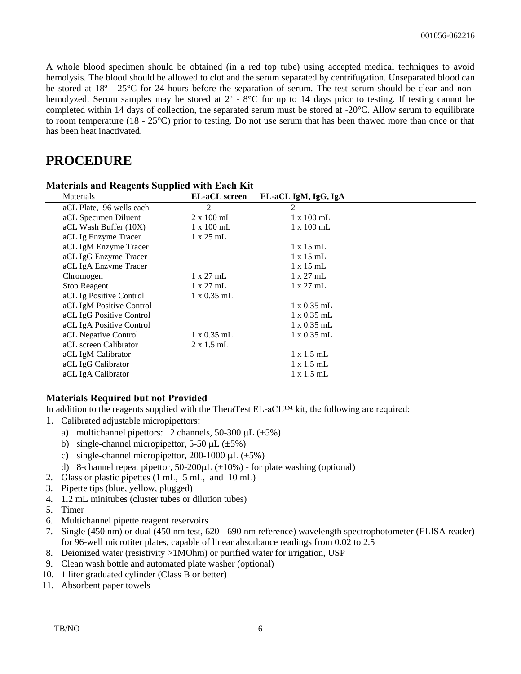A whole blood specimen should be obtained (in a red top tube) using accepted medical techniques to avoid hemolysis. The blood should be allowed to clot and the serum separated by centrifugation. Unseparated blood can be stored at 18º - 25°C for 24 hours before the separation of serum. The test serum should be clear and nonhemolyzed. Serum samples may be stored at  $2^{\circ}$  -  $8^{\circ}$ C for up to 14 days prior to testing. If testing cannot be completed within 14 days of collection, the separated serum must be stored at -20°C. Allow serum to equilibrate to room temperature (18 - 25°C) prior to testing. Do not use serum that has been thawed more than once or that has been heat inactivated.

### **PROCEDURE**

| Materials                | <b>EL-aCL</b> screen | EL-aCL IgM, IgG, IgA |  |
|--------------------------|----------------------|----------------------|--|
| aCL Plate, 96 wells each | 2                    | 2                    |  |
| aCL Specimen Diluent     | $2 \times 100$ mL    | $1 \times 100$ mL    |  |
| aCL Wash Buffer (10X)    | $1 \times 100$ mL    | $1 \times 100$ mL    |  |
| aCL Ig Enzyme Tracer     | $1 \times 25$ mL     |                      |  |
| aCL IgM Enzyme Tracer    |                      | $1 \times 15$ mL     |  |
| aCL IgG Enzyme Tracer    |                      | $1 \times 15$ mL     |  |
| aCL IgA Enzyme Tracer    |                      | $1 \times 15$ mL     |  |
| Chromogen                | $1 \times 27$ mL     | $1 \times 27$ mL     |  |
| <b>Stop Reagent</b>      | $1 \times 27$ mL     | $1 \times 27$ mL     |  |
| aCL Ig Positive Control  | $1 \times 0.35$ mL   |                      |  |
| aCL IgM Positive Control |                      | $1 \times 0.35$ mL   |  |
| aCL IgG Positive Control |                      | $1 \times 0.35$ mL   |  |
| aCL IgA Positive Control |                      | $1 \times 0.35$ mL   |  |
| aCL Negative Control     | $1 \times 0.35$ mL   | $1 \times 0.35$ mL   |  |
| aCL screen Calibrator    | $2 \times 1.5$ mL    |                      |  |
| aCL IgM Calibrator       |                      | $1 \times 1.5$ mL    |  |
| aCL IgG Calibrator       |                      | $1 \times 1.5$ mL    |  |
| aCL IgA Calibrator       |                      | $1 \times 1.5$ mL    |  |

#### **Materials and Reagents Supplied with Each Kit**

### **Materials Required but not Provided**

In addition to the reagents supplied with the TheraTest EL-aCL™ kit, the following are required:

- 1. Calibrated adjustable micropipettors:
	- a) multichannel pipettors: 12 channels, 50-300  $\mu$ L ( $\pm$ 5%)
	- b) single-channel micropipettor,  $5-50 \mu L$  ( $\pm 5\%$ )
	- c) single-channel micropipettor, 200-1000  $\mu$ L ( $\pm$ 5%)
	- d) 8-channel repeat pipettor,  $50-200 \mu L$  ( $\pm 10\%$ ) for plate washing (optional)
- 2. Glass or plastic pipettes (1 mL, 5 mL, and 10 mL)
- 3. Pipette tips (blue, yellow, plugged)
- 4. 1.2 mL minitubes (cluster tubes or dilution tubes)
- 5. Timer
- 6. Multichannel pipette reagent reservoirs
- 7. Single (450 nm) or dual (450 nm test, 620 690 nm reference) wavelength spectrophotometer (ELISA reader) for 96-well microtiter plates, capable of linear absorbance readings from 0.02 to 2.5
- 8. Deionized water (resistivity >1MOhm) or purified water for irrigation, USP
- 9. Clean wash bottle and automated plate washer (optional)
- 10. 1 liter graduated cylinder (Class B or better)
- 11. Absorbent paper towels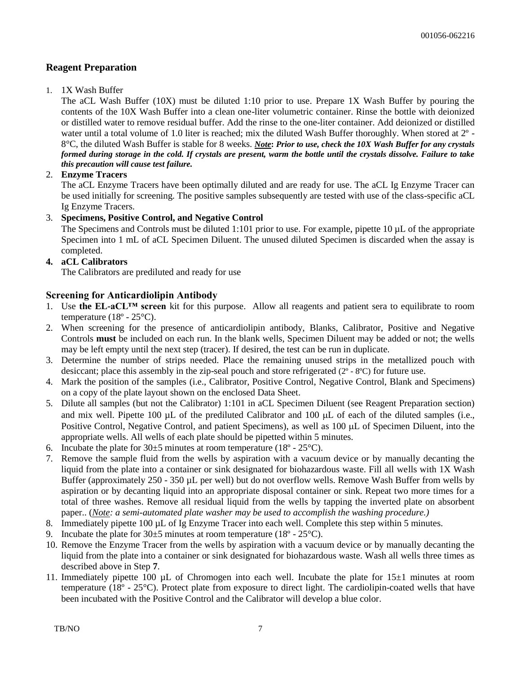### **Reagent Preparation**

### 1. 1X Wash Buffer

The aCL Wash Buffer (10X) must be diluted 1:10 prior to use. Prepare 1X Wash Buffer by pouring the contents of the 10X Wash Buffer into a clean one-liter volumetric container. Rinse the bottle with deionized or distilled water to remove residual buffer. Add the rinse to the one-liter container. Add deionized or distilled water until a total volume of 1.0 liter is reached; mix the diluted Wash Buffer thoroughly. When stored at 2º - 8°C, the diluted Wash Buffer is stable for 8 weeks. *Note***:** *Prior to use, check the 10X Wash Buffer for any crystals formed during storage in the cold. If crystals are present, warm the bottle until the crystals dissolve. Failure to take this precaution will cause test failure.*

### 2. **Enzyme Tracers**

The aCL Enzyme Tracers have been optimally diluted and are ready for use. The aCL Ig Enzyme Tracer can be used initially for screening. The positive samples subsequently are tested with use of the class-specific aCL Ig Enzyme Tracers.

### 3. **Specimens, Positive Control, and Negative Control**

The Specimens and Controls must be diluted 1:101 prior to use. For example, pipette 10  $\mu$ L of the appropriate Specimen into 1 mL of aCL Specimen Diluent. The unused diluted Specimen is discarded when the assay is completed.

### **4. aCL Calibrators**

The Calibrators are prediluted and ready for use

### **Screening for Anticardiolipin Antibody**

- 1. Use **the EL-aCL™ screen** kit for this purpose. Allow all reagents and patient sera to equilibrate to room temperature  $(18^{\circ} - 25^{\circ}C)$ .
- 2. When screening for the presence of anticardiolipin antibody, Blanks, Calibrator, Positive and Negative Controls **must** be included on each run. In the blank wells, Specimen Diluent may be added or not; the wells may be left empty until the next step (tracer). If desired, the test can be run in duplicate.
- 3. Determine the number of strips needed. Place the remaining unused strips in the metallized pouch with desiccant; place this assembly in the zip-seal pouch and store refrigerated (2º - 8ºC) for future use.
- 4. Mark the position of the samples (i.e., Calibrator, Positive Control, Negative Control, Blank and Specimens) on a copy of the plate layout shown on the enclosed Data Sheet.
- 5. Dilute all samples (but not the Calibrator) 1:101 in aCL Specimen Diluent (see Reagent Preparation section) and mix well. Pipette 100  $\mu$ L of the prediluted Calibrator and 100  $\mu$ L of each of the diluted samples (i.e., Positive Control, Negative Control, and patient Specimens), as well as 100 µL of Specimen Diluent, into the appropriate wells. All wells of each plate should be pipetted within 5 minutes.
- 6. Incubate the plate for  $30\pm 5$  minutes at room temperature (18<sup>o</sup> 25<sup>o</sup>C).
- 7. Remove the sample fluid from the wells by aspiration with a vacuum device or by manually decanting the liquid from the plate into a container or sink designated for biohazardous waste. Fill all wells with 1X Wash Buffer (approximately 250 - 350 µL per well) but do not overflow wells. Remove Wash Buffer from wells by aspiration or by decanting liquid into an appropriate disposal container or sink. Repeat two more times for a total of three washes. Remove all residual liquid from the wells by tapping the inverted plate on absorbent paper.. (*Note: a semi-automated plate washer may be used to accomplish the washing procedure.)*
- 8. Immediately pipette 100 µL of Ig Enzyme Tracer into each well. Complete this step within 5 minutes.
- 9. Incubate the plate for  $30\pm 5$  minutes at room temperature (18 $\degree$  25 $\degree$ C).
- 10. Remove the Enzyme Tracer from the wells by aspiration with a vacuum device or by manually decanting the liquid from the plate into a container or sink designated for biohazardous waste. Wash all wells three times as described above in Step **7**.
- 11. Immediately pipette 100  $\mu$ L of Chromogen into each well. Incubate the plate for 15 $\pm$ 1 minutes at room temperature (18º - 25°C). Protect plate from exposure to direct light. The cardiolipin-coated wells that have been incubated with the Positive Control and the Calibrator will develop a blue color.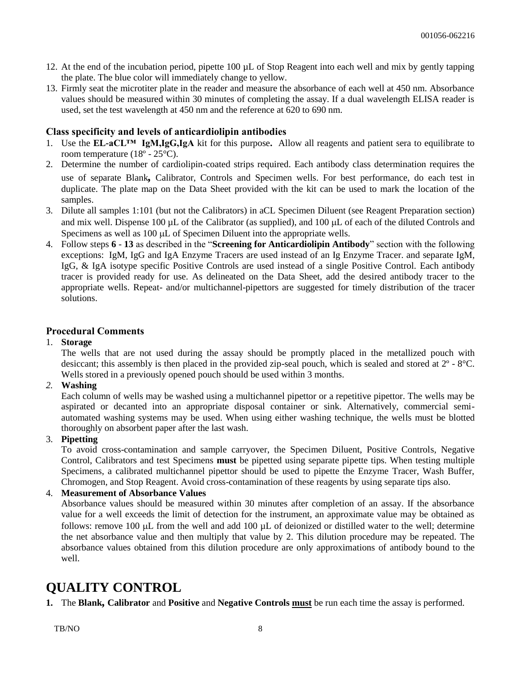- 12. At the end of the incubation period, pipette 100 µL of Stop Reagent into each well and mix by gently tapping the plate. The blue color will immediately change to yellow.
- 13. Firmly seat the microtiter plate in the reader and measure the absorbance of each well at 450 nm. Absorbance values should be measured within 30 minutes of completing the assay. If a dual wavelength ELISA reader is used, set the test wavelength at 450 nm and the reference at 620 to 690 nm.

### **Class specificity and levels of anticardiolipin antibodies**

- 1. Use the **EL-aCL™ IgM,IgG,IgA** kit for this purpose**.** Allow all reagents and patient sera to equilibrate to room temperature (18º - 25°C).
- 2. Determine the number of cardiolipin-coated strips required. Each antibody class determination requires the use of separate Blank*,* Calibrator, Controls and Specimen wells. For best performance, do each test in duplicate. The plate map on the Data Sheet provided with the kit can be used to mark the location of the samples.
- 3. Dilute all samples 1:101 (but not the Calibrators) in aCL Specimen Diluent (see Reagent Preparation section) and mix well. Dispense 100  $\mu$ L of the Calibrator (as supplied), and 100  $\mu$ L of each of the diluted Controls and Specimens as well as  $100 \mu L$  of Specimen Diluent into the appropriate wells.
- 4. Follow steps **6 13** as described in the "**Screening for Anticardiolipin Antibody**" section with the following exceptions: IgM, IgG and IgA Enzyme Tracers are used instead of an Ig Enzyme Tracer. and separate IgM, IgG, & IgA isotype specific Positive Controls are used instead of a single Positive Control. Each antibody tracer is provided ready for use. As delineated on the Data Sheet, add the desired antibody tracer to the appropriate wells. Repeat- and/or multichannel-pipettors are suggested for timely distribution of the tracer solutions.

### **Procedural Comments**

1. **Storage**

The wells that are not used during the assay should be promptly placed in the metallized pouch with desiccant; this assembly is then placed in the provided zip-seal pouch, which is sealed and stored at 2º - 8°C. Wells stored in a previously opened pouch should be used within 3 months.

*2.* **Washing**

Each column of wells may be washed using a multichannel pipettor or a repetitive pipettor. The wells may be aspirated or decanted into an appropriate disposal container or sink. Alternatively, commercial semiautomated washing systems may be used. When using either washing technique, the wells must be blotted thoroughly on absorbent paper after the last wash.

3. **Pipetting**

To avoid cross-contamination and sample carryover, the Specimen Diluent, Positive Controls, Negative Control, Calibrators and test Specimens **must** be pipetted using separate pipette tips. When testing multiple Specimens, a calibrated multichannel pipettor should be used to pipette the Enzyme Tracer, Wash Buffer, Chromogen, and Stop Reagent. Avoid cross-contamination of these reagents by using separate tips also.

### 4. **Measurement of Absorbance Values**

Absorbance values should be measured within 30 minutes after completion of an assay. If the absorbance value for a well exceeds the limit of detection for the instrument, an approximate value may be obtained as follows: remove 100  $\mu$ L from the well and add 100  $\mu$ L of deionized or distilled water to the well; determine the net absorbance value and then multiply that value by 2. This dilution procedure may be repeated. The absorbance values obtained from this dilution procedure are only approximations of antibody bound to the well.

### **QUALITY CONTROL**

**1.** The **Blank***,* **Calibrator** and **Positive** and **Negative Controls must** be run each time the assay is performed.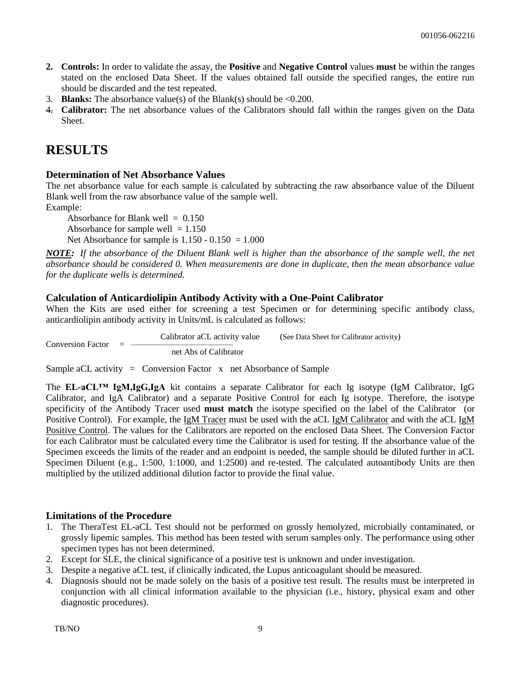- **2. Controls:** In order to validate the assay, the **Positive** and **Negative Control** values **must** be within the ranges stated on the enclosed Data Sheet. If the values obtained fall outside the specified ranges, the entire run should be discarded and the test repeated.
- 3. **Blanks:** The absorbance value(s) of the Blank(s) should be  $\leq 0.200$ .
- 4. **Calibrator:** The net absorbance values of the Calibrators should fall within the ranges given on the Data Sheet.

### **RESULTS**

### **Determination of Net Absorbance Values**

The net absorbance value for each sample is calculated by subtracting the raw absorbance value of the Diluent Blank well from the raw absorbance value of the sample well.

Example:

Absorbance for Blank well  $= 0.150$ Absorbance for sample well  $= 1.150$ Net Absorbance for sample is  $1.150 - 0.150 = 1.000$ 

*NOTE: If the absorbance of the Diluent Blank well is higher than the absorbance of the sample well, the net absorbance should be considered 0. When measurements are done in duplicate, then the mean absorbance value for the duplicate wells is determined.*

### **Calculation of Anticardiolipin Antibody Activity with a One-Point Calibrator**

When the Kits are used either for screening a test Specimen or for determining specific antibody class, anticardiolipin antibody activity in Units/mL is calculated as follows:

 Calibrator aCL activity value (See Data Sheet for Calibrator activity) Conversion Factor  $=$   $$ net Abs of Calibrator

Sample aCL activity = Conversion Factor  $x$  net Absorbance of Sample

The **EL-aCL™ IgM,IgG,IgA** kit contains a separate Calibrator for each Ig isotype (IgM Calibrator, IgG Calibrator, and IgA Calibrator) and a separate Positive Control for each Ig isotype. Therefore, the isotype specificity of the Antibody Tracer used **must match** the isotype specified on the label of the Calibrator (or Positive Control). For example, the IgM Tracer must be used with the aCL IgM Calibrator and with the aCL IgM Positive Control. The values for the Calibrators are reported on the enclosed Data Sheet. The Conversion Factor for each Calibrator must be calculated every time the Calibrator is used for testing. If the absorbance value of the Specimen exceeds the limits of the reader and an endpoint is needed, the sample should be diluted further in aCL Specimen Diluent (e.g., 1:500, 1:1000, and 1:2500) and re-tested. The calculated autoantibody Units are then multiplied by the utilized additional dilution factor to provide the final value.

### **Limitations of the Procedure**

- 1. The TheraTest EL-aCL Test should not be performed on grossly hemolyzed, microbially contaminated, or grossly lipemic samples. This method has been tested with serum samples only. The performance using other specimen types has not been determined.
- 2. Except for SLE, the clinical significance of a positive test is unknown and under investigation.
- 3. Despite a negative aCL test, if clinically indicated, the Lupus anticoagulant should be measured.
- 4. Diagnosis should not be made solely on the basis of a positive test result. The results must be interpreted in conjunction with all clinical information available to the physician (i.e., history, physical exam and other diagnostic procedures).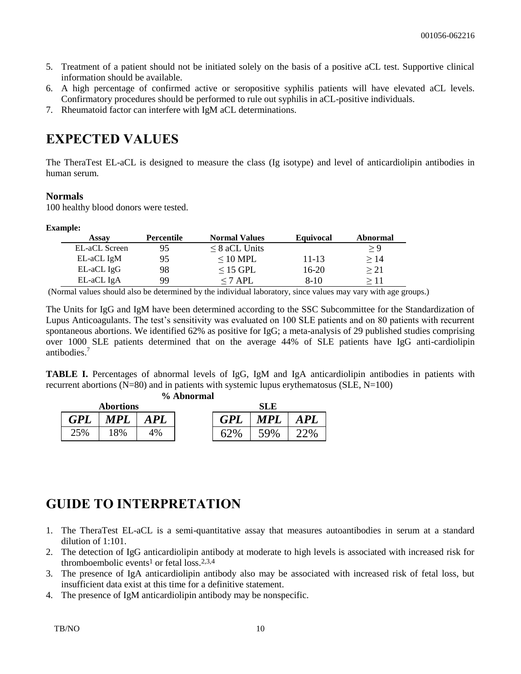- 5. Treatment of a patient should not be initiated solely on the basis of a positive aCL test. Supportive clinical information should be available.
- 6. A high percentage of confirmed active or seropositive syphilis patients will have elevated aCL levels. Confirmatory procedures should be performed to rule out syphilis in aCL-positive individuals.
- 7. Rheumatoid factor can interfere with IgM aCL determinations.

## **EXPECTED VALUES**

The TheraTest EL-aCL is designed to measure the class (Ig isotype) and level of anticardiolipin antibodies in human serum.

### **Normals**

100 healthy blood donors were tested.

### **Example:**

| Assay         | <b>Percentile</b> | <b>Normal Values</b> | Equivocal | Abnormal  |
|---------------|-------------------|----------------------|-----------|-----------|
| EL-aCL Screen | 95                | $\leq$ 8 aCL Units   |           | > 9       |
| EL-aCL IgM    | 95                | $\leq 10$ MPL        | 11-13     | >14       |
| EL-aCL IgG    | 98                | $\leq$ 15 GPL        | $16-20$   | $\geq$ 21 |
| EL-aCL IgA    | 99                | $\leq$ 7 API.        | 8-10      |           |

(Normal values should also be determined by the individual laboratory, since values may vary with age groups.)

The Units for IgG and IgM have been determined according to the SSC Subcommittee for the Standardization of Lupus Anticoagulants. The test's sensitivity was evaluated on 100 SLE patients and on 80 patients with recurrent spontaneous abortions. We identified 62% as positive for IgG; a meta-analysis of 29 published studies comprising over 1000 SLE patients determined that on the average 44% of SLE patients have IgG anti-cardiolipin antibodies.<sup>7</sup>

**TABLE I.** Percentages of abnormal levels of IgG, IgM and IgA anticardiolipin antibodies in patients with recurrent abortions (N=80) and in patients with systemic lupus erythematosus (SLE, N=100)  $\hat{\mathbf{A}}$  hnormal

| 70 Арногина      |            |     |  |            |            |         |
|------------------|------------|-----|--|------------|------------|---------|
| <b>Abortions</b> |            | SLE |  |            |            |         |
| <b>GPL</b>       | <b>MPL</b> | APL |  | <b>GPL</b> | <b>MPL</b> | APL     |
| 25%              | 18%        | 4%  |  | 0          | 500⁄       | $^{10}$ |

### **GUIDE TO INTERPRETATION**

- 1. The TheraTest EL-aCL is a semi-quantitative assay that measures autoantibodies in serum at a standard dilution of 1:101.
- 2. The detection of IgG anticardiolipin antibody at moderate to high levels is associated with increased risk for thromboembolic events<sup>1</sup> or fetal  $loss.^{2,3,4}$
- 3. The presence of IgA anticardiolipin antibody also may be associated with increased risk of fetal loss, but insufficient data exist at this time for a definitive statement.
- 4. The presence of IgM anticardiolipin antibody may be nonspecific.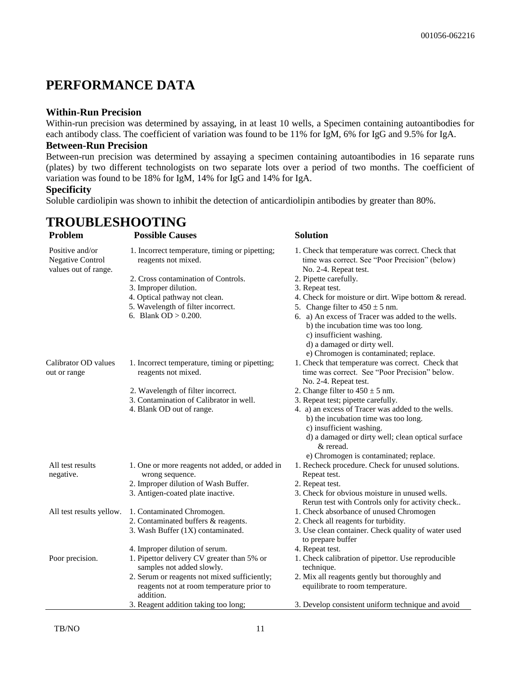### **PERFORMANCE DATA**

### **Within-Run Precision**

Within-run precision was determined by assaying, in at least 10 wells, a Specimen containing autoantibodies for each antibody class. The coefficient of variation was found to be 11% for IgM, 6% for IgG and 9.5% for IgA.

#### **Between-Run Precision**

Between-run precision was determined by assaying a specimen containing autoantibodies in 16 separate runs (plates) by two different technologists on two separate lots over a period of two months. The coefficient of variation was found to be 18% for IgM, 14% for IgG and 14% for IgA.

### **Specificity**

Soluble cardiolipin was shown to inhibit the detection of anticardiolipin antibodies by greater than 80%.

### **TROUBLESHOOTING**

**Problem Possible Causes Solution** Positive and/or Negative Control values out of range. 1. Incorrect temperature, timing or pipetting; reagents not mixed. 1. Check that temperature was correct. Check that time was correct. See "Poor Precision" (below) No. 2-4. Repeat test. 2. Cross contamination of Controls. 2. Pipette carefully. 3. Improper dilution. 3. Repeat test. 4. Optical pathway not clean. 4. Check for moisture or dirt. Wipe bottom & reread. 5. Wavelength of filter incorrect. 6. Blank  $OD > 0.200$ . 5. Change filter to  $450 \pm 5$  nm. 6. a) An excess of Tracer was added to the wells. b) the incubation time was too long. c) insufficient washing. d) a damaged or dirty well. e) Chromogen is contaminated; replace. Calibrator OD values out or range 1. Incorrect temperature, timing or pipetting; reagents not mixed. 1. Check that temperature was correct. Check that time was correct. See "Poor Precision" below. No. 2-4. Repeat test. 2. Wavelength of filter incorrect. 3. Contamination of Calibrator in well. 4. Blank OD out of range. 2. Change filter to  $450 \pm 5$  nm. 3. Repeat test; pipette carefully. 4. a) an excess of Tracer was added to the wells. b) the incubation time was too long. c) insufficient washing. d) a damaged or dirty well; clean optical surface & reread. e) Chromogen is contaminated; replace. All test results negative. 1. One or more reagents not added, or added in wrong sequence. 1. Recheck procedure. Check for unused solutions. Repeat test. 2. Improper dilution of Wash Buffer. 2. Repeat test. 3. Antigen-coated plate inactive. 3. Check for obvious moisture in unused wells. Rerun test with Controls only for activity check.. All test results yellow. 1. Contaminated Chromogen. 1. Check absorbance of unused Chromogen 2. Contaminated buffers & reagents. 2. Check all reagents for turbidity. 3. Wash Buffer (1X) contaminated. 3. Use clean container. Check quality of water used to prepare buffer 4. Improper dilution of serum. 4. Repeat test. Poor precision. 1. Pipettor delivery CV greater than 5% or samples not added slowly. 1. Check calibration of pipettor. Use reproducible technique. 2. Serum or reagents not mixed sufficiently; reagents not at room temperature prior to addition. 2. Mix all reagents gently but thoroughly and equilibrate to room temperature.

3. Reagent addition taking too long; 3. Develop consistent uniform technique and avoid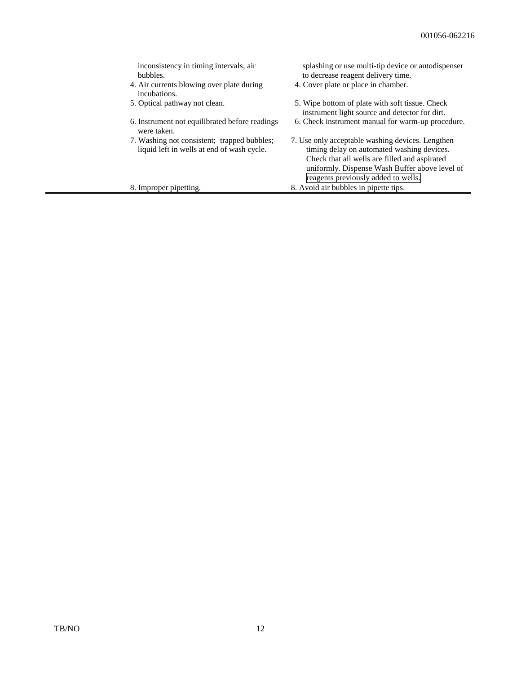| inconsistency in timing intervals, air<br>bubbles.                                        | splashing or use multi-tip device or autodispenser<br>to decrease reagent delivery time.                                                        |
|-------------------------------------------------------------------------------------------|-------------------------------------------------------------------------------------------------------------------------------------------------|
| 4. Air currents blowing over plate during<br>incubations.                                 | 4. Cover plate or place in chamber.                                                                                                             |
| 5. Optical pathway not clean.                                                             | 5. Wipe bottom of plate with soft tissue. Check<br>instrument light source and detector for dirt.                                               |
| 6. Instrument not equilibrated before readings<br>were taken.                             | 6. Check instrument manual for warm-up procedure.                                                                                               |
| 7. Washing not consistent; trapped bubbles;<br>liquid left in wells at end of wash cycle. | 7. Use only acceptable washing devices. Lengthen<br>timing delay on automated washing devices.<br>Check that all wells are filled and aspirated |
|                                                                                           | uniformly. Dispense Wash Buffer above level of<br>reagents previously added to wells.                                                           |
| 8. Improper pipetting.                                                                    | 8. Avoid air bubbles in pipette tips.                                                                                                           |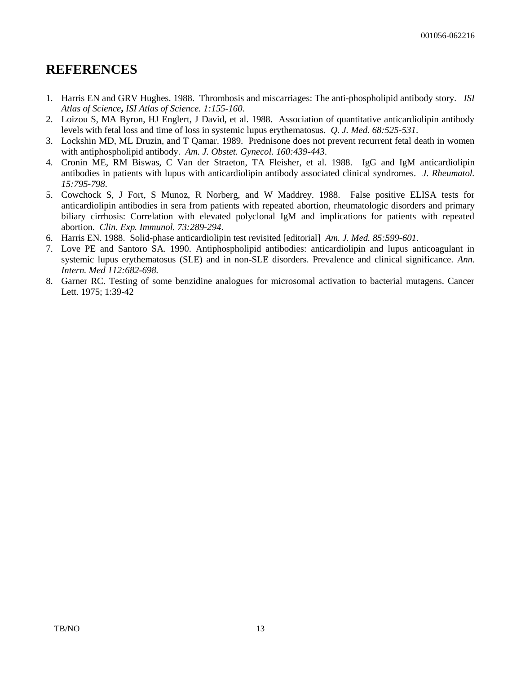### **REFERENCES**

- 1. Harris EN and GRV Hughes. 1988. Thrombosis and miscarriages: The anti-phospholipid antibody story. *ISI Atlas of Science***,** *ISI Atlas of Science. 1:155-160*.
- 2. Loizou S, MA Byron, HJ Englert, J David, et al. 1988. Association of quantitative anticardiolipin antibody levels with fetal loss and time of loss in systemic lupus erythematosus. *Q. J. Med. 68:525-531*.
- 3. Lockshin MD, ML Druzin, and T Qamar. 1989. Prednisone does not prevent recurrent fetal death in women with antiphospholipid antibody. *Am. J. Obstet. Gynecol. 160:439-443*.
- 4. Cronin ME, RM Biswas, C Van der Straeton, TA Fleisher, et al. 1988. IgG and IgM anticardiolipin antibodies in patients with lupus with anticardiolipin antibody associated clinical syndromes. *J. Rheumatol. 15:795-798*.
- 5. Cowchock S, J Fort, S Munoz, R Norberg, and W Maddrey. 1988. False positive ELISA tests for anticardiolipin antibodies in sera from patients with repeated abortion, rheumatologic disorders and primary biliary cirrhosis: Correlation with elevated polyclonal IgM and implications for patients with repeated abortion. *Clin. Exp. Immunol. 73:289-294*.
- 6. Harris EN. 1988. Solid-phase anticardiolipin test revisited [editorial] *Am. J. Med. 85:599-601*.
- 7. Love PE and Santoro SA. 1990. Antiphospholipid antibodies: anticardiolipin and lupus anticoagulant in systemic lupus erythematosus (SLE) and in non-SLE disorders. Prevalence and clinical significance. *Ann. Intern. Med 112:682-698.*
- 8. Garner RC. Testing of some benzidine analogues for microsomal activation to bacterial mutagens. Cancer Lett. 1975; 1:39-42